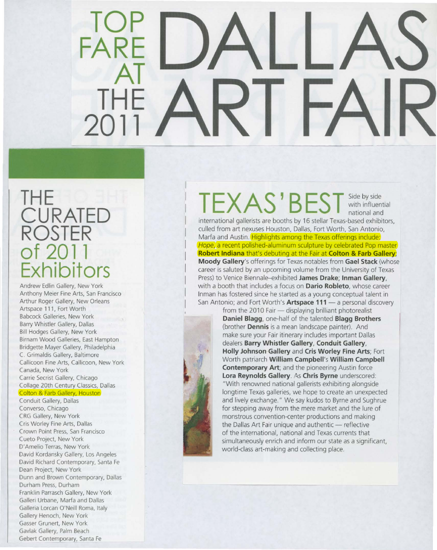### **TOP FARE AT THE 2011**

### **THE CURATED ROSTER of 2011 Exhibitors**

Andrew Edlin Gallery, New York Anthony Meier Fine Arts, San Francisco Arthur Roger Gallery, New Orleans Artspace 111 , Fort Worth Babcock Galleries, New York Barry Whistler Gallery, Dallas Bill Hodges Gallery, New York Birnam Wood Galleries, East Hampton Bridgette Mayer Gallery, Philadelphia C. Grimaldis Gallery, Baltimore Callicoon Fine Arts, Callicoon, New York Canada, New York Carrie Secrist Gallery, Chicago Collage 20th Century Classics, Dallas

### Colton & Farb Gallery, Houston

Conduit Gallery, Dallas Converso, Chicago CRG Gallery, New York Cris Worley Fine Arts, Dallas Crown Point Press, San Francisco Cueto Project, New York D'Amelio Terras, New York David Kordansky Gallery, Los Angeles David Richard Contemporary, Santa Fe Dean Project, New York Dunn and Brown Contemporary, Dallas Durham Press, Durham Franklin Parrasch Gallery, New York Galleri Urbane, Marfa and Dallas Galleria Lorcan O'Neill Roma, Italy Gallery Henoch, New York Gasser Grunert, New York Gavlak Gallery, Palm Beach Gebert Contemporary, Santa Fe

## TEXAS ' **BEST** Sideby side with influential

national and

international gallerists are booths by 16 stellar Texas-based exhibitors, culled from art nexuses Houston, Dallas, Fort Worth, San Antonio, Marfa and Austin. Highlights among the Texas offerings include: Hope, a recent polished-aluminum sculpture by celebrated Pop master **Robert Indiana** that's debuting at the Fair at **Colton & Farb Gallery; Moody Gallery's** offerings for Texas notables from **Gael Stack** (whose career is saluted by an upcoming volume from the University of Texas Press) to Venice Biennale-exhibited **James Drake; Inman Gallery,**  with a booth that includes a focus on **Dario Robleto**, whose career Inman has fostered since he started as a young conceptual talent in San Antonio; and Fort Worth's **Artspace 111** - a personal discovery



from the 2010 Fair - displaying brilliant photorealist **Daniel Blagg,** one-half of the talented **Blagg Brothers**  (brother **Dennis** is a mean landscape painter). And make sure your Fair itinerary includes important Dallas dealers **Barry Whistler Gallery, Conduit Gallery, Holly Johnson Gallery** and **Cris Worley Fine Arts;** Fort Worth patriarch **William Campbell's William Campbell Contemporary Art;** and the pioneering Austin force **lora Reynolds Gallery. As Chris Byrne** underscored: "With renowned national gallerists exhibiting alongside longtime Texas galleries, we hope to create an unexpected and lively exchange." We say kudos to Byrne and Sughrue for stepping away from the mere market and the lure of monstrous convention-center productions and making the Dallas Art Fair unique and authentic - reflective of the international, national and Texas currents that simultaneously enrich and inform our state as a significant, world-class art-making and collecting place.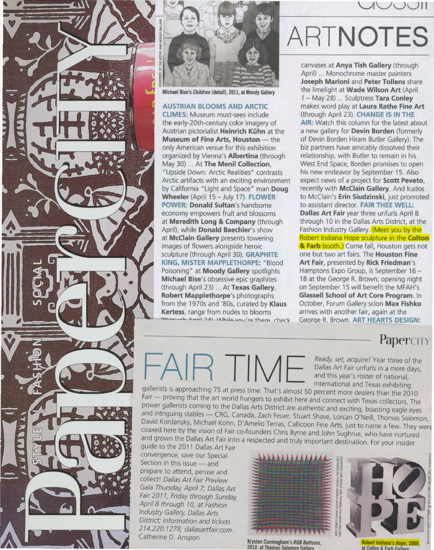



Michael Bise's Children (detail), 2011, at Moody Gallery

AUSTRIAN BLOOMS AND ARCTIC CLIMES: Museum must-sees include the early-20th-century color imagery of Austrian pictorialist Heinrich Kühn at the Museum of Fine Arts, Houston - the only American venue for this exhibition organized by Vienna's Albertina (through May 30) ... At The Menil Collection, "Upside Down: Arctic Realities" contrasts Arctic artifacts with an exciting environment by California "Light and Space" man Doug Wheeler (April 15 - July 17). FLOWER POWER: Donald Sultan's handsome economy empowers fruit and blossoms at Meredith Long & Company (through April), while Donald Baechler's show at McClain Gallery presents towering images of flowers alongside heroic sculpture (through April 30). GRAPHITE KING, MISTER MAPPLETHORPE: "Blood Poisoning" at Moody Gallery spotlights Michael Bise's obsessive epic graphites (through April 23) ... At Texas Gallery, Robert Mapplethorpe's photographs from the 1970s and '80s, curated by Klaus Kertess, range from nudes to blooms Antil 24) Mihilo wou're there check

# ARTNOTES

 $J \cup H$ 

canvases at Anya Tish Gallery (through April) ... Monochrome master painters Joseph Marioni and Peter Tollens share the limelight at Wade Wilson Art (April 1 - May 28) ... Sculptress Tara Conley makes word play at Laura Rathe Fine Art (through April 23). CHANGE IS IN THE AIR: Watch this column for the latest about a new gallery for Devin Borden (formerly of Devin Borden Hiram Butler Gallery). The biz partners have amicably dissolved their relationship, with Butler to remain in his West End Space; Borden promises to open his new endeavor by September 15. Also expect news of a project for Scott Peveto, recently with McClain Gallery. And kudos to McClain's Erin Siudzinski, just promoted to assistant director. FAIR THEE WELL: Dallas Art Fair year three unfurls April 8 through 10 in the Dallas Arts District, at the Fashion Industry Gallery. (Meet you by the Robert Indiana Hope sculpture in the Colton **& Farb booth.)** Come fall, Houston gets not one but two art fairs. The Houston Fine Art Fair, presented by Rick Friedman's Hamptons Expo Group, is September 16 - 18 at the George R. Brown; opening night on September 15 will benefit the MFAH's Glassell School of Art Core Program. In October, Forum Gallery scion Max Fishko arrives with another fair, again at the Georqe R. Brown. ART HEARTS DESIGN:

### Papercity

Ready, set, acquire! Year three of the Dallas Art Fair unfurls in a mere days,<br>and this year's roster of national,<br>international and Texas exhibiting

gallerists is approaching 75 at press time. That's almost 50 percent more dealers than the 2010 Fair - proving that the art world hungers to exhibit here and connect with Texas collectors. The power gallerists coming to the Dallas Arts District are authentic and exciting, boasting eagle eyes and intriguing stables - CRG, Canada, Zach Feuer, Stuart Shave, Lorcan O'Neill, Thomas Solomon, David Kordansky, Michael Kohn, D'Amelio Terras, Callicoon Fine Arts, just to name a few. They were coaxed here by the vision of Fair co-founders Chris Byrne and John Sughrue, who have nurtured and grown the Dallas Art Fair into a respected and truly important destination. For your insider

guide to the 2011 Dallas Art Fair convergence, save our Special Section in this issue - and prepare to attend, peruse and collect! Dallas Art Fair Preview Gala Thursday, April 7; Dallas Art Fair 2011, Friday through Sunday, April 8 through 10, at Fashion Industry Gallery, Dallas Arts District; information and tickets 274.220. 7278; dallasartfair.com. Catherine D. Anspon Krysten Cunningham's RGB Bottoms,



2010. at Thomas Solomon Gall



Robert Indiana's Hope, 2009,